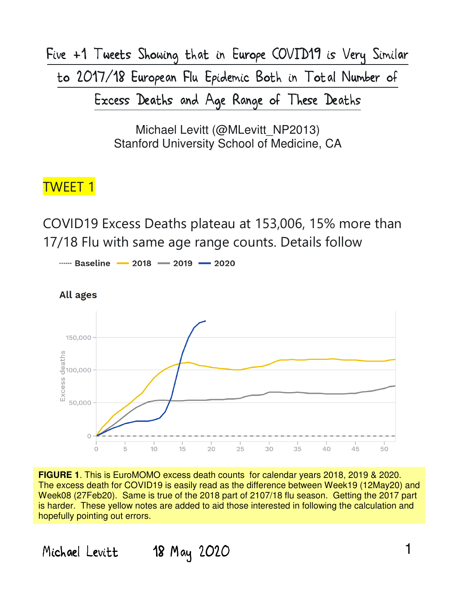Five +1 Tweets Showing that in Europe COVID19 is Very Similar to 2017/18 European Flu Epidemic Both in Total Number of Excess Deaths and Age Range of These Deaths

> Michael Levitt (@MLevitt\_NP2013) Stanford University School of Medicine, CA

#### TWEET 1

COVID19 Excess Deaths plateau at 153,006, 15% more than 17/18 Flu with same age range counts. Details follow

...... Baseline - 2018 - 2019 - 2020



**FIGURE 1**. This is EuroMOMO excess death counts for calendar years 2018, 2019 & 2020. The excess death for COVID19 is easily read as the difference between Week19 (12May20) and Week08 (27Feb20). Same is true of the 2018 part of 2107/18 flu season. Getting the 2017 part is harder. These yellow notes are added to aid those interested in following the calculation and hopefully pointing out errors.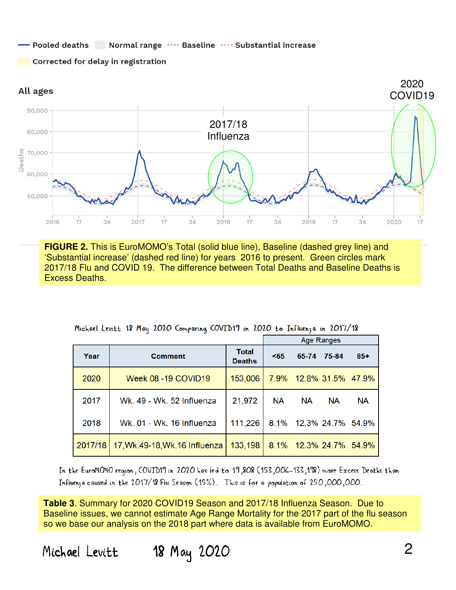#### Pooled deaths Normal range .... Baseline .... Substantial increase

Corrected for delay in registration



**FIGURE 2.** This is EuroMOMO's Total (solid blue line), Baseline (dashed grey line) and 'Substantial increase' (dashed red line) for years 2016 to present. Green circles mark 2017/18 Flu and COVID 19. The difference between Total Deaths and Baseline Deaths is Excess Deaths.

|         |                               |                               |           | Age Ranges |                        |           |
|---------|-------------------------------|-------------------------------|-----------|------------|------------------------|-----------|
| Year    | <b>Comment</b>                | <b>Total</b><br><b>Deaths</b> | < 65      | 65-74      | 75-84                  | $85+$     |
| 2020    | <b>Week 08 -19 COVID19</b>    | 153,006                       |           |            | 7.9% 12.8% 31.5% 47.9% |           |
| 2017    | Wk. 49 - Wk. 52 Influenza     | 21,972                        | <b>NA</b> | <b>NA</b>  | <b>NA</b>              | <b>NA</b> |
| 2018    | Wk. 01 - Wk. 16 Influenza     | 111,226                       |           |            | 8.1% 12.3% 24.7%       | 54.9%     |
| 2017/18 | 17, Wk.49-18, Wk.16 Influenza | 133,198                       |           |            | 8.1% 12.3% 24.7%       | 54.9%     |

Michael Levitt 18 May 2020 Comparing COVID19 in 2020 to Influenza in 2017/18

In the EuroMOMO region, COVID19 in 2020 has led to 19,808 (153,006–133,198) more Excess Deaths than Influenza caused in the 2017/18 Flu Season (15%). This is for a population of 250,000,000.

**Table 3**. Summary for 2020 COVID19 Season and 2017/18 Influenza Season. Due to Baseline issues, we cannot estimate Age Range Mortality for the 2017 part of the flu season so we base our analysis on the 2018 part where data is available from EuroMOMO.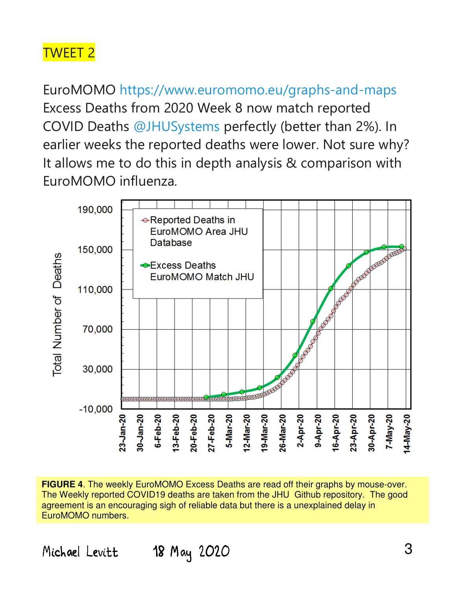EuroMOMO https://www.euromomo.eu/graphs-and-maps Excess Deaths from 2020 Week 8 now match reported COVID Deaths @JHUSystems perfectly (better than 2%). In earlier weeks the reported deaths were lower. Not sure why? It allows me to do this in depth analysis & comparison with EuroMOMO influenza.



**FIGURE 4**. The weekly EuroMOMO Excess Deaths are read off their graphs by mouse-over. The Weekly reported COVID19 deaths are taken from the JHU Github repository. The good agreement is an encouraging sigh of reliable data but there is a unexplained delay in EuroMOMO numbers.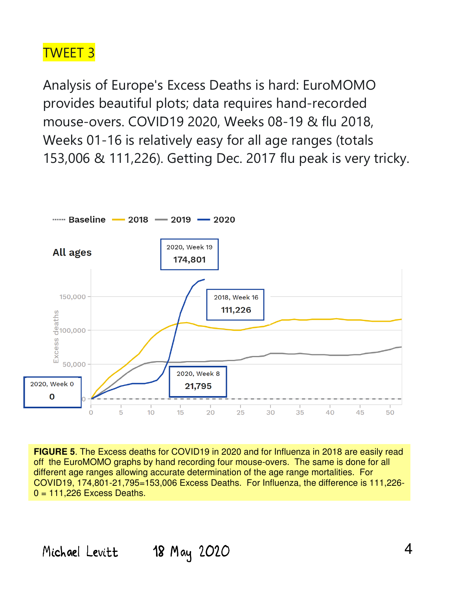Analysis of Europe's Excess Deaths is hard: EuroMOMO provides beautiful plots; data requires hand-recorded mouse-overs. COVID19 2020, Weeks 08-19 & flu 2018, Weeks 01-16 is relatively easy for all age ranges (totals 153,006 & 111,226). Getting Dec. 2017 flu peak is very tricky.



**FIGURE 5**. The Excess deaths for COVID19 in 2020 and for Influenza in 2018 are easily read off the EuroMOMO graphs by hand recording four mouse-overs. The same is done for all different age ranges allowing accurate determination of the age range mortalities. For COVID19, 174,801-21,795=153,006 Excess Deaths. For Influenza, the difference is 111,226-  $0 = 111.226$  Excess Deaths.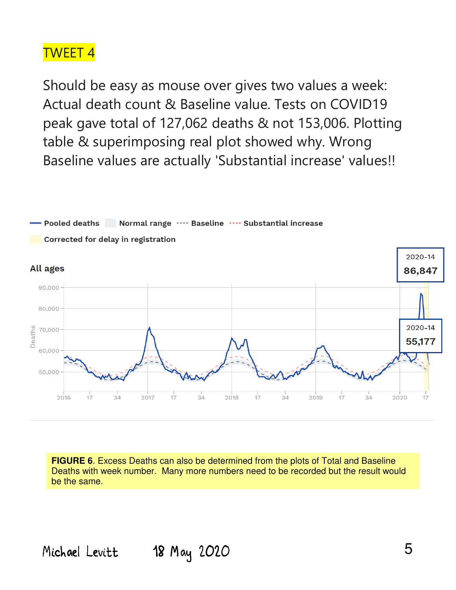Should be easy as mouse over gives two values a week: Actual death count & Baseline value. Tests on COVID19 peak gave total of 127,062 deaths & not 153,006. Plotting table & superimposing real plot showed why. Wrong Baseline values are actually 'Substantial increase' values!!



**FIGURE 6.** Excess Deaths can also be determined from the plots of Total and Baseline Deaths with week number. Many more numbers need to be recorded but the result would be the same.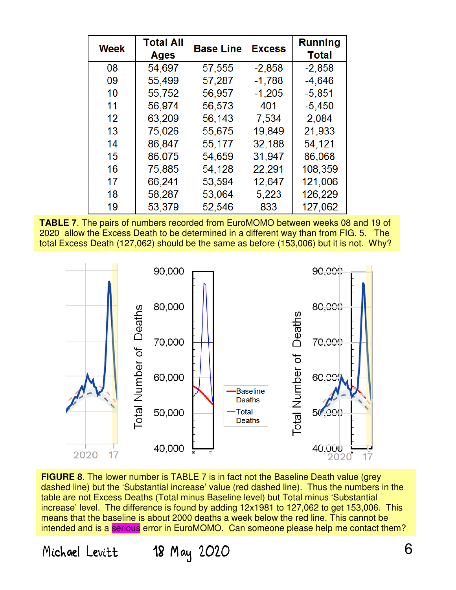| <b>Week</b> | <b>Total All</b><br><b>Ages</b> | <b>Base Line</b> | <b>Excess</b> | <b>Running</b><br><b>Total</b> |
|-------------|---------------------------------|------------------|---------------|--------------------------------|
| 08          | 54,697                          | 57,555           | $-2,858$      | $-2,858$                       |
| 09          | 55,499                          | 57,287           | $-1,788$      | $-4,646$                       |
| 10          | 55,752                          | 56,957           | $-1,205$      | $-5,851$                       |
| 11          | 56,974                          | 56,573           | 401           | $-5,450$                       |
| 12          | 63,209                          | 56,143           | 7,534         | 2,084                          |
| 13          | 75,026                          | 55,675           | 19,849        | 21,933                         |
| 14          | 86,847                          | 55,177           | 32,188        | 54,121                         |
| 15          | 86,075                          | 54,659           | 31,947        | 86,068                         |
| 16          | 75,885                          | 54,128           | 22,291        | 108,359                        |
| 17          | 66,241                          | 53,594           | 12,647        | 121,006                        |
| 18          | 58,287                          | 53,064           | 5,223         | 126,229                        |
| 19          | 53,379                          | 52,546           | 833           | 127,062                        |

**TABLE 7**. The pairs of numbers recorded from EuroMOMO between weeks 08 and 19 of 2020 allow the Excess Death to be determined in a different way than from FIG. 5. The total Excess Death (127,062) should be the same as before (153,006) but it is not. Why?



**FIGURE 8.** The lower number is TABLE 7 is in fact not the Baseline Death value (grey dashed line) but the 'Substantial increase' value (red dashed line). Thus the numbers in the table are not Excess Deaths (Total minus Baseline level) but Total minus 'Substantial increase' level. The difference is found by adding 12x1981 to 127,062 to get 153,006. This means that the baseline is about 2000 deaths a week below the red line. This cannot be intended and is a serious error in EuroMOMO. Can someone please help me contact them?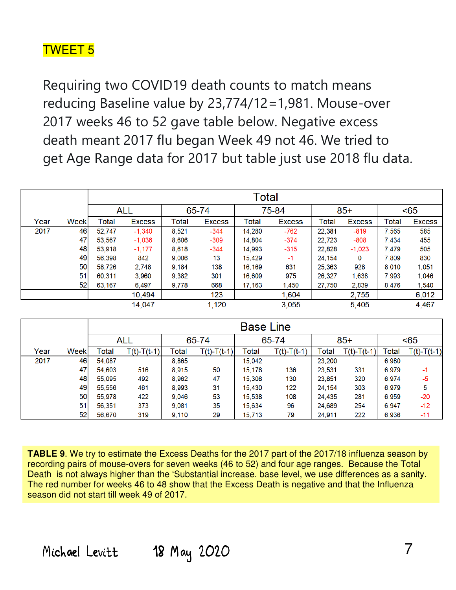Requiring two COVID19 death counts to match means reducing Baseline value by 23,774/12=1,981. Mouse-over 2017 weeks 46 to 52 gave table below. Negative excess death meant 2017 flu began Week 49 not 46. We tried to get Age Range data for 2017 but table just use 2018 flu data.

|      |             | Total  |            |       |               |        |               |        |               |       |               |
|------|-------------|--------|------------|-------|---------------|--------|---------------|--------|---------------|-------|---------------|
|      |             |        | <b>ALL</b> | 65-74 |               | 75-84  |               | $85+$  |               | < 65  |               |
| Year | <b>Week</b> | Total  | Excess     | Total | <b>Excess</b> | Total  | <b>Excess</b> | Total  | <b>Excess</b> | Total | <b>Excess</b> |
| 2017 | 46          | 52.747 | $-1,340$   | 8,521 | $-344$        | 14,280 | $-762$        | 22,381 | $-819$        | 7,565 | 585           |
|      | 47          | 53,567 | $-1,036$   | 8,606 | $-309$        | 14.804 | $-374$        | 22,723 | $-808$        | 7.434 | 455           |
|      | 48          | 53,918 | $-1,177$   | 8,618 | $-344$        | 14,993 | $-315$        | 22,828 | $-1,023$      | 7.479 | 505           |
|      | 49          | 56,398 | 842        | 9,006 | 13            | 15.429 | $-1$          | 24,154 | 0             | 7.809 | 830           |
|      | 50          | 58.726 | 2,748      | 9.184 | 138           | 16,169 | 631           | 25,363 | 928           | 8.010 | 1,051         |
|      | 51          | 60,311 | 3,960      | 9.382 | 301           | 16,609 | 975           | 26,327 | 1,638         | 7.993 | 1,046         |
|      | 52          | 63,167 | 6,497      | 9,778 | 668           | 17,163 | 1,450         | 27,750 | 2,839         | 8.476 | 1,540         |
|      |             |        | 10,494     |       | 123           |        | 1,604         |        | 2,755         |       | 6,012         |
|      |             |        | 14,047     |       | 1,120         |        | 3,055         |        | 5,405         |       | 4,467         |

|      |             | <b>Base Line</b> |               |       |               |        |               |        |               |       |               |
|------|-------------|------------------|---------------|-------|---------------|--------|---------------|--------|---------------|-------|---------------|
|      |             |                  | ALL           | 65-74 |               | 65-74  |               | $85+$  |               | < 65  |               |
| Year | <b>Week</b> | Total            | $T(t)-T(t-1)$ | Total | $T(t)-T(t-1)$ | Total  | $T(t)-T(t-1)$ | Total  | $T(t)-T(t-1)$ | Total | $T(t)-T(t-1)$ |
| 2017 | 46          | 54,087           |               | 8.865 |               | 15,042 |               | 23,200 |               | 6,980 |               |
|      | 47          | 54,603           | 516           | 8.915 | 50            | 15,178 | 136           | 23,531 | 331           | 6,979 | -1            |
|      | 48          | 55,095           | 492           | 8.962 | 47            | 15,308 | 130           | 23,851 | 320           | 6,974 | $-5$          |
|      | 49          | 55,556           | 461           | 8,993 | 31            | 15,430 | 122           | 24,154 | 303           | 6,979 | 5             |
|      | 50          | 55,978           | 422           | 9,046 | 53            | 15,538 | 108           | 24,435 | 281           | 6,959 | $-20$         |
|      | 51          | 56,351           | 373           | 9,081 | 35            | 15,634 | 96            | 24,689 | 254           | 6,947 | $-12$         |
|      | 52          | 56,670           | 319           | 9.110 | 29            | 15,713 | 79            | 24,911 | 222           | 6.936 | $-11$         |

**TABLE 9**. We try to estimate the Excess Deaths for the 2017 part of the 2017/18 influenza season by recording pairs of mouse-overs for seven weeks (46 to 52) and four age ranges. Because the Total Death is not always higher than the 'Substantial increase. base level, we use differences as a sanity. The red number for weeks 46 to 48 show that the Excess Death is negative and that the Influenza season did not start till week 49 of 2017.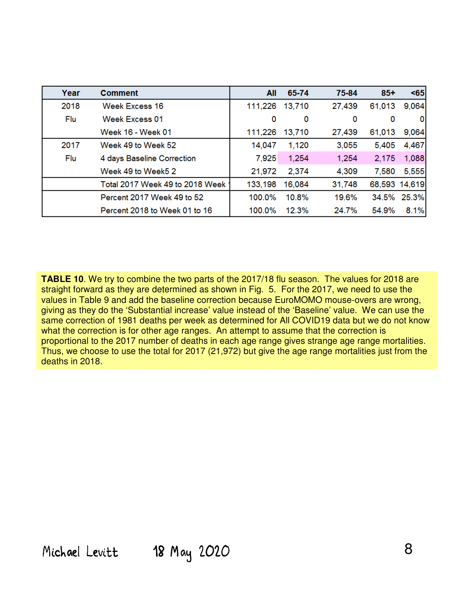| Year | <b>Comment</b>                  | All     | 65-74  | 75-84  | $85+$         | $65$        |
|------|---------------------------------|---------|--------|--------|---------------|-------------|
| 2018 | Week Excess 16                  | 111,226 | 13,710 | 27,439 | 61,013        | 9,064       |
| Flu  | Week Excess 01                  | 0       | 0      | 0      | 0             | 0           |
|      | Week 16 - Week 01               | 111,226 | 13,710 | 27,439 | 61,013        | 9,064       |
| 2017 | Week 49 to Week 52              | 14,047  | 1,120  | 3,055  | 5,405         | 4,467       |
| Flu  | 4 days Baseline Correction      | 7,925   | 1,254  | 1,254  | 2,175         | 1,088       |
|      | Week 49 to Week5 2              | 21,972  | 2,374  | 4,309  | 7,580         | 5,555       |
|      | Total 2017 Week 49 to 2018 Week | 133,198 | 16,084 | 31,748 | 68,593 14,619 |             |
|      | Percent 2017 Week 49 to 52      | 100.0%  | 10.8%  | 19.6%  |               | 34.5% 25.3% |
|      | Percent 2018 to Week 01 to 16   | 100.0%  | 12.3%  | 24.7%  | 54.9%         | 8.1%        |

**TABLE 10**. We try to combine the two parts of the 2017/18 flu season. The values for 2018 are straight forward as they are determined as shown in Fig. 5. For the 2017, we need to use the values in Table 9 and add the baseline correction because EuroMOMO mouse-overs are wrong, giving as they do the 'Substantial increase' value instead of the 'Baseline' value. We can use the same correction of 1981 deaths per week as determined for All COVID19 data but we do not know what the correction is for other age ranges. An attempt to assume that the correction is proportional to the 2017 number of deaths in each age range gives strange age range mortalities. Thus, we choose to use the total for 2017 (21,972) but give the age range mortalities just from the deaths in 2018.